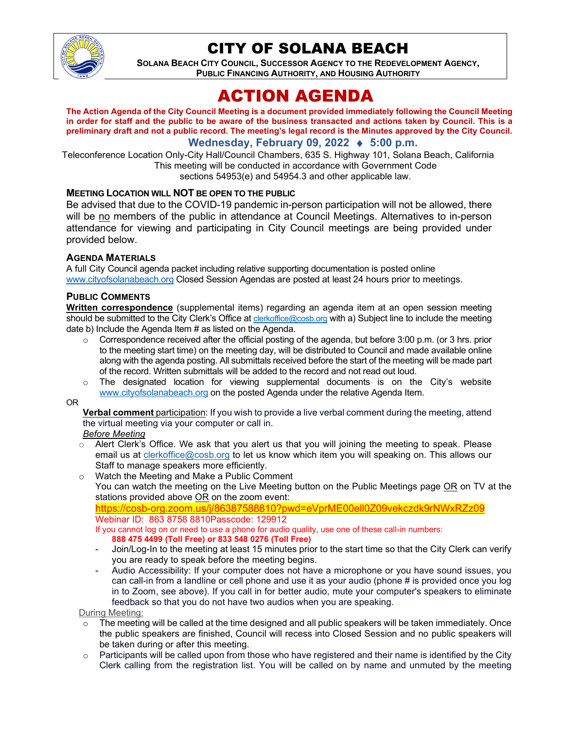

# CITY OF SOLANA BEACH

**SOLANA BEACH CITY COUNCIL, SUCCESSOR AGENCY TO THE REDEVELOPMENT AGENCY, PUBLIC FINANCING AUTHORITY, AND HOUSING AUTHORITY** 

# ACTION AGENDA

**The Action Agenda of the City Council Meeting is a document provided immediately following the Council Meeting in order for staff and the public to be aware of the business transacted and actions taken by Council. This is a preliminary draft and not a public record. The meeting's legal record is the Minutes approved by the City Council.**

**Wednesday, February 09, 2022** ♦ **5:00 p.m.**

Teleconference Location Only-City Hall/Council Chambers, 635 S. Highway 101, Solana Beach, California This meeting will be conducted in accordance with Government Code sections 54953(e) and 54954.3 and other applicable law.

### **MEETING LOCATION WILL NOT BE OPEN TO THE PUBLIC**

Be advised that due to the COVID-19 pandemic in-person participation will not be allowed, there will be no members of the public in attendance at Council Meetings. Alternatives to in-person attendance for viewing and participating in City Council meetings are being provided under provided below.

#### **AGENDA MATERIALS**

A full City Council agenda packet including relative supporting documentation is posted online [www.cityofsolanabeach.org](https://urldefense.proofpoint.com/v2/url?u=http-3A__www.cityofsolanabeach.org&d=DwQFAg&c=euGZstcaTDllvimEN8b7jXrwqOf-v5A_CdpgnVfiiMM&r=1XAsCUuqwK_tji2t0s1uIQ&m=wny2RVfZJ2tN24LkqZmkUWNpwL_peNtTZUBlTBZiMM4&s=6ATguqxJUOD7VVtloplAbyuyNaVcEh6Fl4q1iw55lCY&e=) Closed Session Agendas are posted at least 24 hours prior to meetings.

#### **PUBLIC COMMENTS**

**Written correspondence** (supplemental items) regarding an agenda item at an open session meeting should be submitted to the City Clerk's Office at [clerkoffice@cosb.org](mailto:clerkoffice@cosb.org) with a) Subject line to include the meeting date b) Include the Agenda Item # as listed on the Agenda.

- $\circ$  Correspondence received after the official posting of the agenda, but before 3:00 p.m. (or 3 hrs. prior to the meeting start time) on the meeting day, will be distributed to Council and made available online along with the agenda posting. All submittals received before the start of the meeting will be made part of the record. Written submittals will be added to the record and not read out loud.
- $\circ$  The designated location for viewing supplemental documents is on the City's website [www.cityofsolanabeach.org](http://www.cityofsolanabeach.org/) on the posted Agenda under the relative Agenda Item.

#### OR

**Verbal comment** participation: If you wish to provide a live verbal comment during the meeting, attend the virtual meeting via your computer or call in.

#### *Before Meeting*

- Alert Clerk's Office. We ask that you alert us that you will joining the meeting to speak. Please email us at [clerkoffice@cosb.org](mailto:clerkoffice@cosb.org) to let us know which item you will speaking on. This allows our Staff to manage speakers more efficiently.
- o Watch the Meeting and Make a Public Comment You can watch the meeting on the Live Meeting button on the Public Meetings page OR on TV at the stations provided above OR on the zoom event:

<https://cosb-org.zoom.us/j/86387588810?pwd=eVprME00ell0Z09vekczdk9rNWxRZz09> Webinar ID: 863 8758 8810Passcode: 129912

If you cannot log on or need to use a phone for audio quality, use one of these call-in numbers: **888 475 4499 (Toll Free) or 833 548 0276 (Toll Free)**

- Join/Log-In to the meeting at least 15 minutes prior to the start time so that the City Clerk can verify you are ready to speak before the meeting begins.
- Audio Accessibility: If your computer does not have a microphone or you have sound issues, you can call-in from a landline or cell phone and use it as your audio (phone # is provided once you log in to Zoom, see above). If you call in for better audio, mute your computer's speakers to eliminate feedback so that you do not have two audios when you are speaking.

During Meeting:

- $\circ$  The meeting will be called at the time designed and all public speakers will be taken immediately. Once the public speakers are finished, Council will recess into Closed Session and no public speakers will be taken during or after this meeting.
- $\circ$  Participants will be called upon from those who have registered and their name is identified by the City Clerk calling from the registration list. You will be called on by name and unmuted by the meeting